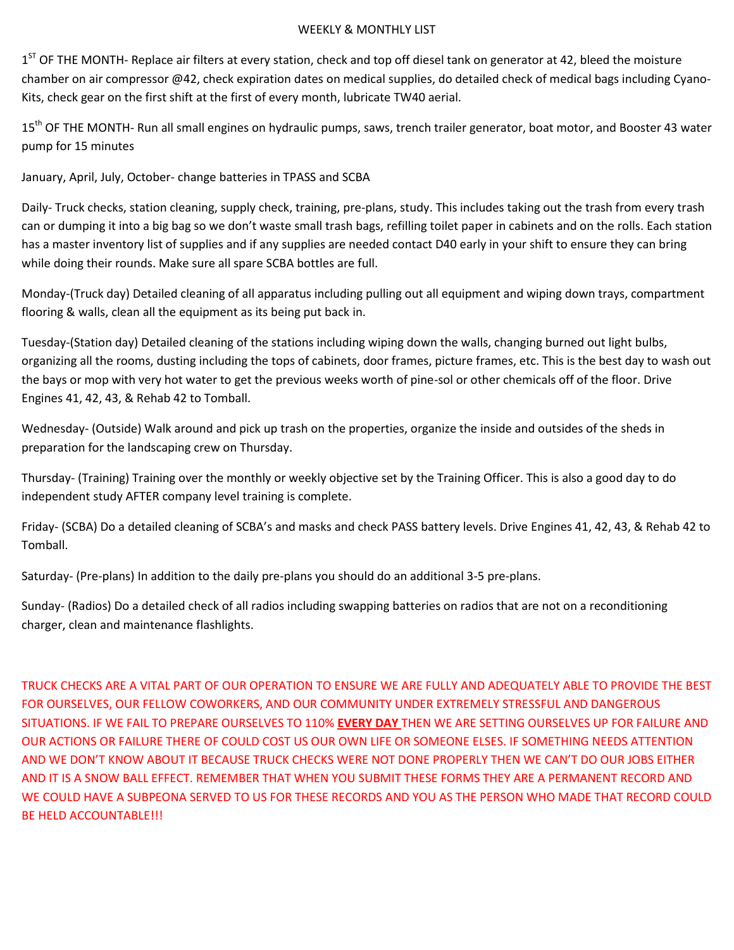## WEEKLY & MONTHLY LIST

1<sup>ST</sup> OF THE MONTH- Replace air filters at every station, check and top off diesel tank on generator at 42, bleed the moisture chamber on air compressor @42, check expiration dates on medical supplies, do detailed check of medical bags including Cyano-Kits, check gear on the first shift at the first of every month, lubricate TW40 aerial.

15<sup>th</sup> OF THE MONTH- Run all small engines on hydraulic pumps, saws, trench trailer generator, boat motor, and Booster 43 water pump for 15 minutes

January, April, July, October- change batteries in TPASS and SCBA

Daily- Truck checks, station cleaning, supply check, training, pre-plans, study. This includes taking out the trash from every trash can or dumping it into a big bag so we don't waste small trash bags, refilling toilet paper in cabinets and on the rolls. Each station has a master inventory list of supplies and if any supplies are needed contact D40 early in your shift to ensure they can bring while doing their rounds. Make sure all spare SCBA bottles are full.

Monday-(Truck day) Detailed cleaning of all apparatus including pulling out all equipment and wiping down trays, compartment flooring & walls, clean all the equipment as its being put back in.

Tuesday-(Station day) Detailed cleaning of the stations including wiping down the walls, changing burned out light bulbs, organizing all the rooms, dusting including the tops of cabinets, door frames, picture frames, etc. This is the best day to wash out the bays or mop with very hot water to get the previous weeks worth of pine-sol or other chemicals off of the floor. Drive Engines 41, 42, 43, & Rehab 42 to Tomball.

Wednesday- (Outside) Walk around and pick up trash on the properties, organize the inside and outsides of the sheds in preparation for the landscaping crew on Thursday.

Thursday- (Training) Training over the monthly or weekly objective set by the Training Officer. This is also a good day to do independent study AFTER company level training is complete.

Friday- (SCBA) Do a detailed cleaning of SCBA's and masks and check PASS battery levels. Drive Engines 41, 42, 43, & Rehab 42 to Tomball.

Saturday- (Pre-plans) In addition to the daily pre-plans you should do an additional 3-5 pre-plans.

Sunday- (Radios) Do a detailed check of all radios including swapping batteries on radios that are not on a reconditioning charger, clean and maintenance flashlights.

TRUCK CHECKS ARE A VITAL PART OF OUR OPERATION TO ENSURE WE ARE FULLY AND ADEQUATELY ABLE TO PROVIDE THE BEST FOR OURSELVES, OUR FELLOW COWORKERS, AND OUR COMMUNITY UNDER EXTREMELY STRESSFUL AND DANGEROUS SITUATIONS. IF WE FAIL TO PREPARE OURSELVES TO 110% **EVERY DAY** THEN WE ARE SETTING OURSELVES UP FOR FAILURE AND OUR ACTIONS OR FAILURE THERE OF COULD COST US OUR OWN LIFE OR SOMEONE ELSES. IF SOMETHING NEEDS ATTENTION AND WE DON'T KNOW ABOUT IT BECAUSE TRUCK CHECKS WERE NOT DONE PROPERLY THEN WE CAN'T DO OUR JOBS EITHER AND IT IS A SNOW BALL EFFECT. REMEMBER THAT WHEN YOU SUBMIT THESE FORMS THEY ARE A PERMANENT RECORD AND WE COULD HAVE A SUBPEONA SERVED TO US FOR THESE RECORDS AND YOU AS THE PERSON WHO MADE THAT RECORD COULD BE HELD ACCOUNTABLE!!!